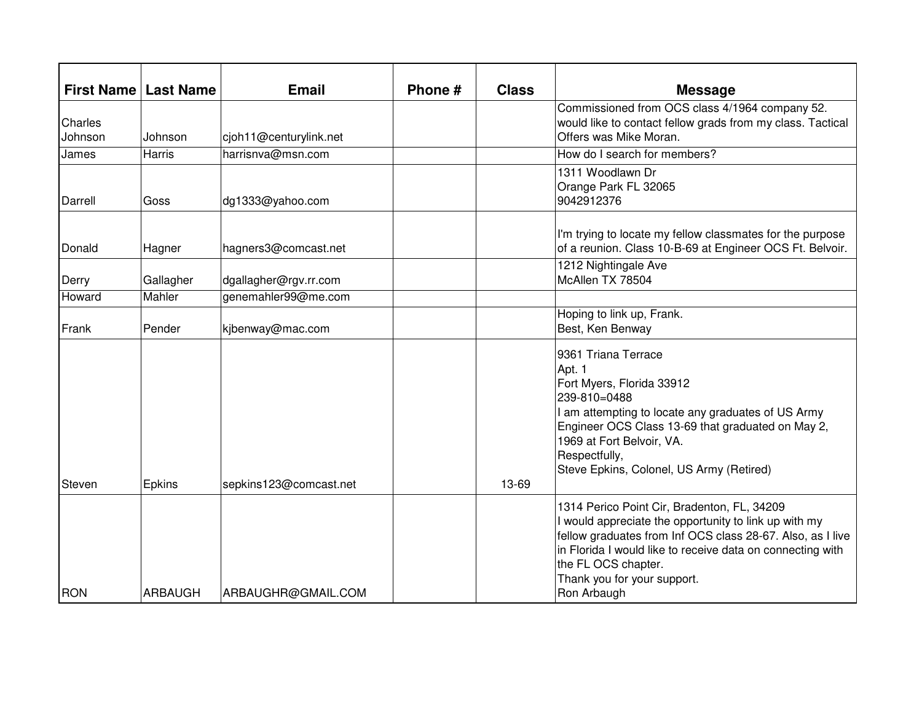|                    | <b>First Name   Last Name</b> | <b>Email</b>           | Phone # | <b>Class</b> | <b>Message</b>                                                                                                                                                                                                                                                                                        |
|--------------------|-------------------------------|------------------------|---------|--------------|-------------------------------------------------------------------------------------------------------------------------------------------------------------------------------------------------------------------------------------------------------------------------------------------------------|
| Charles<br>Johnson | Johnson                       | cjoh11@centurylink.net |         |              | Commissioned from OCS class 4/1964 company 52.<br>would like to contact fellow grads from my class. Tactical<br>Offers was Mike Moran.                                                                                                                                                                |
| James              | <b>Harris</b>                 | harrisnva@msn.com      |         |              | How do I search for members?                                                                                                                                                                                                                                                                          |
| Darrell            | Goss                          | dg1333@yahoo.com       |         |              | 1311 Woodlawn Dr<br>Orange Park FL 32065<br>9042912376                                                                                                                                                                                                                                                |
| Donald             | Hagner                        | hagners3@comcast.net   |         |              | I'm trying to locate my fellow classmates for the purpose<br>of a reunion. Class 10-B-69 at Engineer OCS Ft. Belvoir.                                                                                                                                                                                 |
| Derry              | Gallagher                     | dgallagher@rgv.rr.com  |         |              | 1212 Nightingale Ave<br>McAllen TX 78504                                                                                                                                                                                                                                                              |
| Howard             | Mahler                        | genemahler99@me.com    |         |              |                                                                                                                                                                                                                                                                                                       |
| Frank              | Pender                        | kjbenway@mac.com       |         |              | Hoping to link up, Frank.<br>Best, Ken Benway                                                                                                                                                                                                                                                         |
| Steven             | <b>Epkins</b>                 | sepkins123@comcast.net |         | 13-69        | 9361 Triana Terrace<br>Apt. 1<br>Fort Myers, Florida 33912<br>239-810=0488<br>I am attempting to locate any graduates of US Army<br>Engineer OCS Class 13-69 that graduated on May 2,<br>1969 at Fort Belvoir, VA.<br>Respectfully,<br>Steve Epkins, Colonel, US Army (Retired)                       |
| <b>RON</b>         | <b>ARBAUGH</b>                | ARBAUGHR@GMAIL.COM     |         |              | 1314 Perico Point Cir, Bradenton, FL, 34209<br>I would appreciate the opportunity to link up with my<br>fellow graduates from Inf OCS class 28-67. Also, as I live<br>in Florida I would like to receive data on connecting with<br>the FL OCS chapter.<br>Thank you for your support.<br>Ron Arbaugh |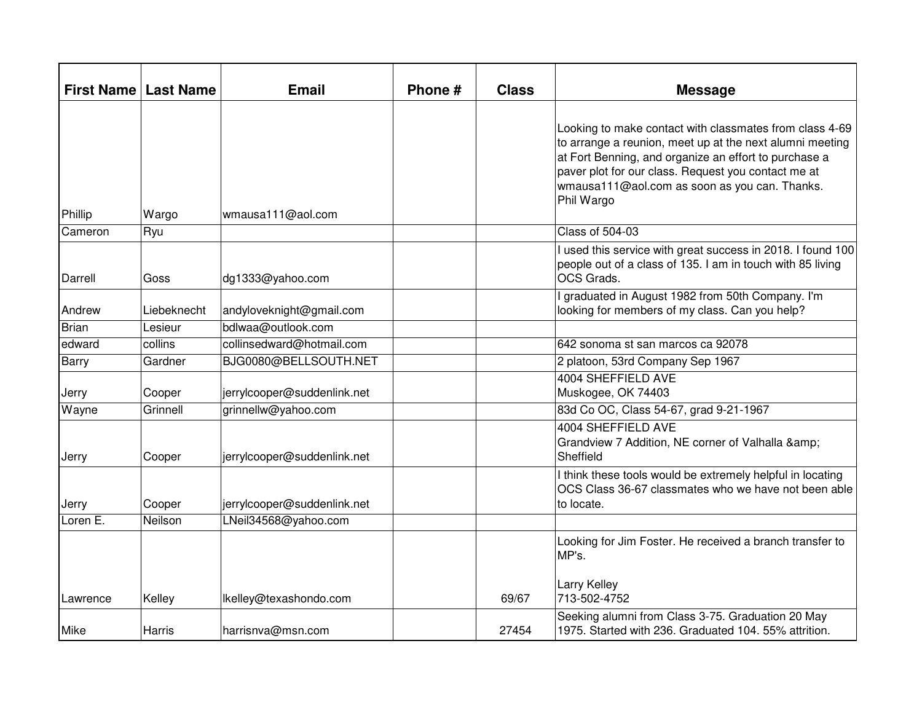|              | <b>First Name   Last Name</b> | <b>Email</b>                | Phone # | <b>Class</b> | <b>Message</b>                                                                                                                                                                                                                                                                                     |
|--------------|-------------------------------|-----------------------------|---------|--------------|----------------------------------------------------------------------------------------------------------------------------------------------------------------------------------------------------------------------------------------------------------------------------------------------------|
| Phillip      | Wargo                         | wmausa111@aol.com           |         |              | Looking to make contact with classmates from class 4-69<br>to arrange a reunion, meet up at the next alumni meeting<br>at Fort Benning, and organize an effort to purchase a<br>paver plot for our class. Request you contact me at<br>wmausa111@aol.com as soon as you can. Thanks.<br>Phil Wargo |
| Cameron      | Ryu                           |                             |         |              | <b>Class of 504-03</b>                                                                                                                                                                                                                                                                             |
| Darrell      | Goss                          | dg1333@yahoo.com            |         |              | used this service with great success in 2018. I found 100<br>people out of a class of 135. I am in touch with 85 living<br>OCS Grads.                                                                                                                                                              |
| Andrew       | Liebeknecht                   | andyloveknight@gmail.com    |         |              | graduated in August 1982 from 50th Company. I'm<br>looking for members of my class. Can you help?                                                                                                                                                                                                  |
| <b>Brian</b> | Lesieur                       | bdlwaa@outlook.com          |         |              |                                                                                                                                                                                                                                                                                                    |
| edward       | collins                       | collinsedward@hotmail.com   |         |              | 642 sonoma st san marcos ca 92078                                                                                                                                                                                                                                                                  |
| <b>Barry</b> | Gardner                       | BJG0080@BELLSOUTH.NET       |         |              | 2 platoon, 53rd Company Sep 1967                                                                                                                                                                                                                                                                   |
| Jerry        | Cooper                        | jerrylcooper@suddenlink.net |         |              | <b>4004 SHEFFIELD AVE</b><br>Muskogee, OK 74403                                                                                                                                                                                                                                                    |
| Wayne        | Grinnell                      | grinnellw@yahoo.com         |         |              | 83d Co OC, Class 54-67, grad 9-21-1967                                                                                                                                                                                                                                                             |
| Jerry        | Cooper                        | jerrylcooper@suddenlink.net |         |              | 4004 SHEFFIELD AVE<br>Grandview 7 Addition, NE corner of Valhalla &<br>Sheffield                                                                                                                                                                                                                   |
| Jerry        | Cooper                        | jerrylcooper@suddenlink.net |         |              | I think these tools would be extremely helpful in locating<br>OCS Class 36-67 classmates who we have not been able<br>to locate.                                                                                                                                                                   |
| Loren E.     | Neilson                       | LNeil34568@yahoo.com        |         |              |                                                                                                                                                                                                                                                                                                    |
| Lawrence     | Kelley                        | lkelley@texashondo.com      |         | 69/67        | Looking for Jim Foster. He received a branch transfer to<br>MP's.<br>Larry Kelley<br>713-502-4752                                                                                                                                                                                                  |
| Mike         | Harris                        | harrisnva@msn.com           |         | 27454        | Seeking alumni from Class 3-75. Graduation 20 May<br>1975. Started with 236. Graduated 104. 55% attrition.                                                                                                                                                                                         |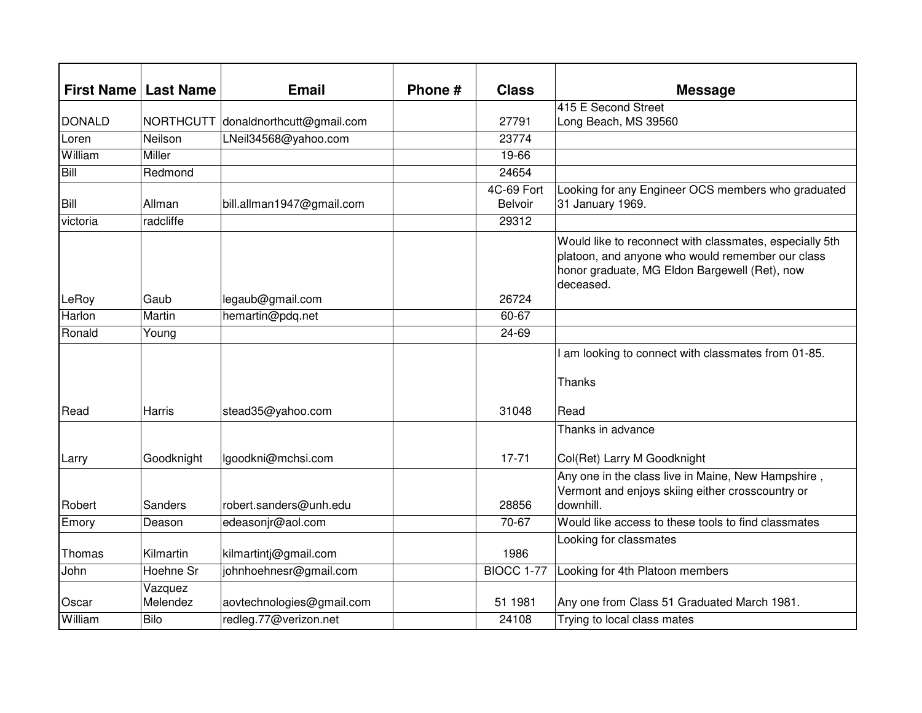| <b>First Name</b> | <b>Last Name</b>    | <b>Email</b>              | Phone # | <b>Class</b>      | <b>Message</b>                                                                                                                                                            |
|-------------------|---------------------|---------------------------|---------|-------------------|---------------------------------------------------------------------------------------------------------------------------------------------------------------------------|
|                   |                     |                           |         |                   | 415 E Second Street                                                                                                                                                       |
| <b>DONALD</b>     | <b>NORTHCUTT</b>    | donaldnorthcutt@gmail.com |         | 27791             | Long Beach, MS 39560                                                                                                                                                      |
| Loren             | Neilson             | LNeil34568@yahoo.com      |         | 23774             |                                                                                                                                                                           |
| William           | Miller              |                           |         | 19-66             |                                                                                                                                                                           |
| <b>Bill</b>       | Redmond             |                           |         | 24654             |                                                                                                                                                                           |
|                   |                     |                           |         | 4C-69 Fort        | Looking for any Engineer OCS members who graduated                                                                                                                        |
| Bill              | Allman              | bill.allman1947@gmail.com |         | <b>Belvoir</b>    | 31 January 1969.                                                                                                                                                          |
| victoria          | radcliffe           |                           |         | 29312             |                                                                                                                                                                           |
|                   |                     |                           |         |                   | Would like to reconnect with classmates, especially 5th<br>platoon, and anyone who would remember our class<br>honor graduate, MG Eldon Bargewell (Ret), now<br>deceased. |
| LeRoy             | Gaub                | legaub@gmail.com          |         | 26724             |                                                                                                                                                                           |
| Harlon            | Martin              | hemartin@pdq.net          |         | $60 - 67$         |                                                                                                                                                                           |
| Ronald            | Young               |                           |         | 24-69             |                                                                                                                                                                           |
|                   |                     |                           |         |                   | am looking to connect with classmates from 01-85.<br>Thanks                                                                                                               |
| Read              | Harris              | stead35@yahoo.com         |         | 31048             | Read                                                                                                                                                                      |
|                   |                     |                           |         |                   | Thanks in advance                                                                                                                                                         |
| Larry             | Goodknight          | lgoodkni@mchsi.com        |         | $17 - 71$         | Col(Ret) Larry M Goodknight                                                                                                                                               |
| Robert            | Sanders             | robert.sanders@unh.edu    |         | 28856             | Any one in the class live in Maine, New Hampshire,<br>Vermont and enjoys skiing either crosscountry or<br>downhill.                                                       |
| Emory             | Deason              | edeasonjr@aol.com         |         | 70-67             | Would like access to these tools to find classmates                                                                                                                       |
| Thomas            | Kilmartin           | kilmartintj@gmail.com     |         | 1986              | Looking for classmates                                                                                                                                                    |
| John              | Hoehne Sr           | johnhoehnesr@gmail.com    |         | <b>BIOCC 1-77</b> | Looking for 4th Platoon members                                                                                                                                           |
| Oscar             | Vazquez<br>Melendez | aovtechnologies@gmail.com |         | 51 1981           | Any one from Class 51 Graduated March 1981.                                                                                                                               |
| William           | Bilo                | redleg.77@verizon.net     |         | 24108             | Trying to local class mates                                                                                                                                               |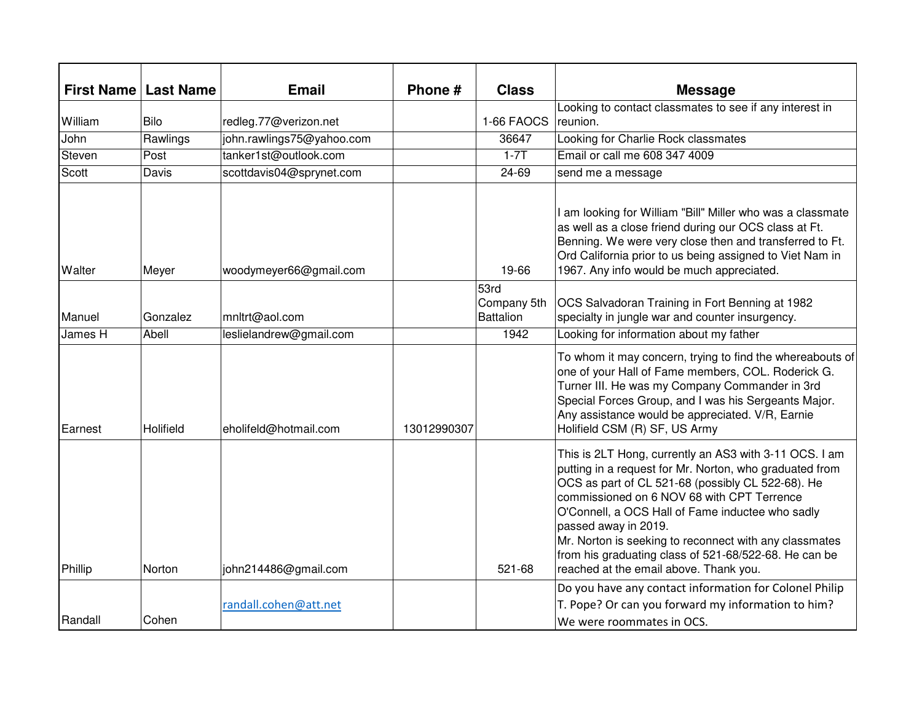|         | <b>First Name   Last Name</b> | <b>Email</b>              | Phone #     | <b>Class</b>                            | <b>Message</b>                                                                                                                                                                                                                                                                                                                                                                                                                                                |
|---------|-------------------------------|---------------------------|-------------|-----------------------------------------|---------------------------------------------------------------------------------------------------------------------------------------------------------------------------------------------------------------------------------------------------------------------------------------------------------------------------------------------------------------------------------------------------------------------------------------------------------------|
| William | Bilo                          | redleg.77@verizon.net     |             | 1-66 FAOCS                              | Looking to contact classmates to see if any interest in<br>reunion.                                                                                                                                                                                                                                                                                                                                                                                           |
| John    | Rawlings                      | john.rawlings75@yahoo.com |             | 36647                                   | Looking for Charlie Rock classmates                                                                                                                                                                                                                                                                                                                                                                                                                           |
| Steven  | Post                          | tanker1st@outlook.com     |             | $1-7T$                                  | Email or call me 608 347 4009                                                                                                                                                                                                                                                                                                                                                                                                                                 |
| Scott   | Davis                         | scottdavis04@sprynet.com  |             | $24 - 69$                               | send me a message                                                                                                                                                                                                                                                                                                                                                                                                                                             |
| Walter  | Meyer                         | woodymeyer66@gmail.com    |             | 19-66                                   | I am looking for William "Bill" Miller who was a classmate<br>as well as a close friend during our OCS class at Ft.<br>Benning. We were very close then and transferred to Ft.<br>Ord California prior to us being assigned to Viet Nam in<br>1967. Any info would be much appreciated.                                                                                                                                                                       |
| Manuel  | Gonzalez                      | mnltrt@aol.com            |             | 53rd<br>Company 5th<br><b>Battalion</b> | OCS Salvadoran Training in Fort Benning at 1982<br>specialty in jungle war and counter insurgency.                                                                                                                                                                                                                                                                                                                                                            |
| James H | Abell                         | leslielandrew@gmail.com   |             | 1942                                    | Looking for information about my father                                                                                                                                                                                                                                                                                                                                                                                                                       |
| Earnest | Holifield                     | eholifeld@hotmail.com     | 13012990307 |                                         | To whom it may concern, trying to find the whereabouts of<br>one of your Hall of Fame members, COL. Roderick G.<br>Turner III. He was my Company Commander in 3rd<br>Special Forces Group, and I was his Sergeants Major.<br>Any assistance would be appreciated. V/R, Earnie<br>Holifield CSM (R) SF, US Army                                                                                                                                                |
| Phillip | Norton                        | john214486@gmail.com      |             | 521-68                                  | This is 2LT Hong, currently an AS3 with 3-11 OCS. I am<br>putting in a request for Mr. Norton, who graduated from<br>OCS as part of CL 521-68 (possibly CL 522-68). He<br>commissioned on 6 NOV 68 with CPT Terrence<br>O'Connell, a OCS Hall of Fame inductee who sadly<br>passed away in 2019.<br>Mr. Norton is seeking to reconnect with any classmates<br>from his graduating class of 521-68/522-68. He can be<br>reached at the email above. Thank you. |
|         |                               |                           |             |                                         | Do you have any contact information for Colonel Philip                                                                                                                                                                                                                                                                                                                                                                                                        |
|         |                               | randall.cohen@att.net     |             |                                         | T. Pope? Or can you forward my information to him?                                                                                                                                                                                                                                                                                                                                                                                                            |
| Randall | Cohen                         |                           |             |                                         | We were roommates in OCS.                                                                                                                                                                                                                                                                                                                                                                                                                                     |